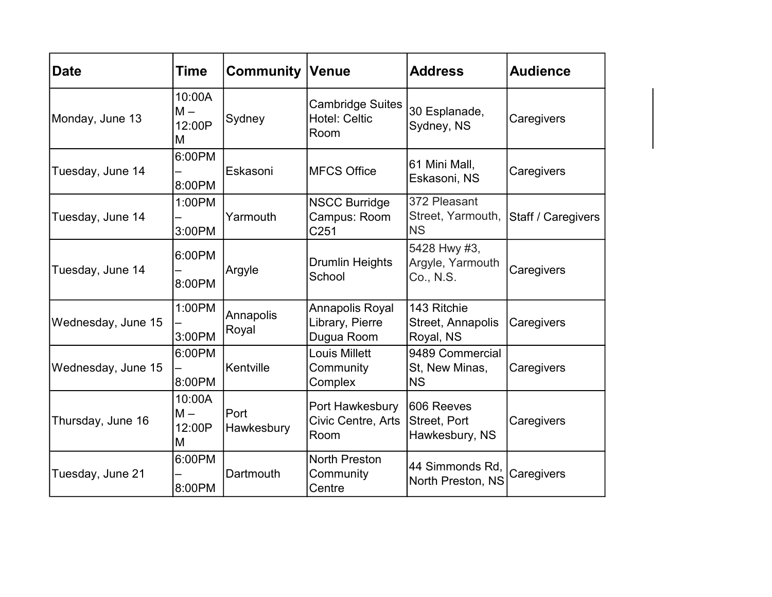| <b>Date</b>        | Time                           | <b>Community Venue</b>    |                                                         | <b>Address</b>                                 | <b>Audience</b>    |
|--------------------|--------------------------------|---------------------------|---------------------------------------------------------|------------------------------------------------|--------------------|
| Monday, June 13    | 10:00A<br>$M -$<br>12:00P<br>M | Sydney                    | <b>Cambridge Suites</b><br><b>Hotel: Celtic</b><br>Room | 30 Esplanade,<br>Sydney, NS                    | Caregivers         |
| Tuesday, June 14   | 6:00PM<br>8:00PM               | Eskasoni                  | <b>MFCS Office</b>                                      | 61 Mini Mall,<br>Eskasoni, NS                  | Caregivers         |
| Tuesday, June 14   | 1:00PM<br>3:00PM               | Yarmouth                  | <b>NSCC Burridge</b><br>Campus: Room<br>C251            | 372 Pleasant<br>Street, Yarmouth,<br><b>NS</b> | Staff / Caregivers |
| Tuesday, June 14   | 6:00PM<br>8:00PM               | Argyle                    | <b>Drumlin Heights</b><br>School                        | 5428 Hwy #3,<br>Argyle, Yarmouth<br>Co., N.S.  | Caregivers         |
| Wednesday, June 15 | 1:00PM<br>3:00PM               | Annapolis<br>Royal        | Annapolis Royal<br>Library, Pierre<br>Dugua Room        | 143 Ritchie<br>Street, Annapolis<br>Royal, NS  | Caregivers         |
| Wednesday, June 15 | 6:00PM<br>8:00PM               | İKentville                | <b>Louis Millett</b><br>Community<br>Complex            | 9489 Commercial<br>St, New Minas,<br><b>NS</b> | Caregivers         |
| Thursday, June 16  | 10:00A<br>$M -$<br>12:00P<br>M | <b>Port</b><br>Hawkesbury | Port Hawkesbury<br>Civic Centre, Arts<br>Room           | 606 Reeves<br>Street, Port<br>Hawkesbury, NS   | Caregivers         |
| Tuesday, June 21   | 6:00PM<br>8:00PM               | Dartmouth                 | North Preston<br>Community<br>Centre                    | 44 Simmonds Rd,<br>North Preston, NS           | Caregivers         |